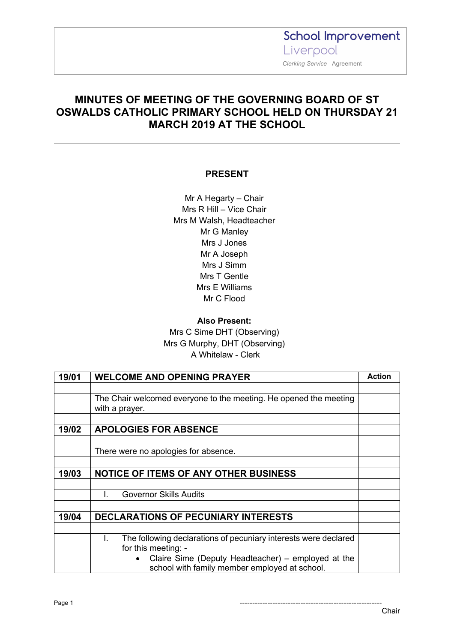**School Improvement** Liverpool  *Clerking Service* Agreement

#### **MINUTES OF MEETING OF THE GOVERNING BOARD OF ST OSWALDS CATHOLIC PRIMARY SCHOOL HELD ON THURSDAY 21 MARCH 2019 AT THE SCHOOL**

#### **PRESENT**

Mr A Hegarty – Chair Mrs R Hill – Vice Chair Mrs M Walsh, Headteacher Mr G Manley Mrs J Jones Mr A Joseph Mrs J Simm Mrs T Gentle Mrs E Williams Mr C Flood

**Also Present:** Mrs C Sime DHT (Observing) Mrs G Murphy, DHT (Observing) A Whitelaw - Clerk

| 19/01 | <b>WELCOME AND OPENING PRAYER</b>                                                                   | <b>Action</b> |
|-------|-----------------------------------------------------------------------------------------------------|---------------|
|       |                                                                                                     |               |
|       | The Chair welcomed everyone to the meeting. He opened the meeting                                   |               |
|       | with a prayer.                                                                                      |               |
|       |                                                                                                     |               |
| 19/02 | <b>APOLOGIES FOR ABSENCE</b>                                                                        |               |
|       |                                                                                                     |               |
|       | There were no apologies for absence.                                                                |               |
|       |                                                                                                     |               |
| 19/03 | <b>NOTICE OF ITEMS OF ANY OTHER BUSINESS</b>                                                        |               |
|       |                                                                                                     |               |
|       | <b>Governor Skills Audits</b><br>L.                                                                 |               |
|       |                                                                                                     |               |
| 19/04 | <b>DECLARATIONS OF PECUNIARY INTERESTS</b>                                                          |               |
|       |                                                                                                     |               |
|       | The following declarations of pecuniary interests were declared<br>L.<br>for this meeting: -        |               |
|       | Claire Sime (Deputy Headteacher) – employed at the<br>school with family member employed at school. |               |

Page 1 --------------------------------------------------------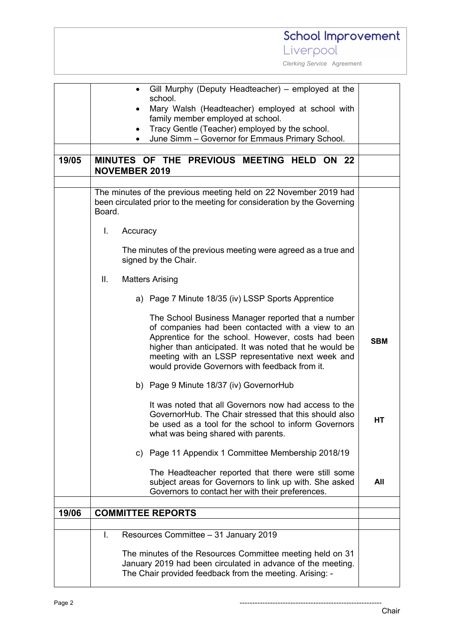|       | School Improvement                                                                                                                                                                                                                                                                                                             |            |
|-------|--------------------------------------------------------------------------------------------------------------------------------------------------------------------------------------------------------------------------------------------------------------------------------------------------------------------------------|------------|
|       | Liverpool                                                                                                                                                                                                                                                                                                                      |            |
|       | Clerking Service Agreement                                                                                                                                                                                                                                                                                                     |            |
|       | Gill Murphy (Deputy Headteacher) – employed at the<br>school.<br>Mary Walsh (Headteacher) employed at school with<br>family member employed at school.<br>Tracy Gentle (Teacher) employed by the school.<br>$\bullet$<br>June Simm - Governor for Emmaus Primary School.                                                       |            |
| 19/05 | MINUTES OF THE PREVIOUS MEETING HELD ON 22<br><b>NOVEMBER 2019</b>                                                                                                                                                                                                                                                             |            |
|       | The minutes of the previous meeting held on 22 November 2019 had<br>been circulated prior to the meeting for consideration by the Governing<br>Board.                                                                                                                                                                          |            |
|       | L.<br>Accuracy                                                                                                                                                                                                                                                                                                                 |            |
|       | The minutes of the previous meeting were agreed as a true and<br>signed by the Chair.                                                                                                                                                                                                                                          |            |
|       | Ш.<br><b>Matters Arising</b>                                                                                                                                                                                                                                                                                                   |            |
|       | a) Page 7 Minute 18/35 (iv) LSSP Sports Apprentice                                                                                                                                                                                                                                                                             |            |
|       | The School Business Manager reported that a number<br>of companies had been contacted with a view to an<br>Apprentice for the school. However, costs had been<br>higher than anticipated. It was noted that he would be<br>meeting with an LSSP representative next week and<br>would provide Governors with feedback from it. | <b>SBM</b> |
|       | b) Page 9 Minute 18/37 (iv) GovernorHub                                                                                                                                                                                                                                                                                        |            |
|       | It was noted that all Governors now had access to the<br>GovernorHub. The Chair stressed that this should also<br>be used as a tool for the school to inform Governors<br>what was being shared with parents.                                                                                                                  | HТ         |
|       | Page 11 Appendix 1 Committee Membership 2018/19<br>C)                                                                                                                                                                                                                                                                          |            |
|       | The Headteacher reported that there were still some<br>subject areas for Governors to link up with. She asked<br>Governors to contact her with their preferences.                                                                                                                                                              | All        |
| 19/06 | <b>COMMITTEE REPORTS</b>                                                                                                                                                                                                                                                                                                       |            |
|       |                                                                                                                                                                                                                                                                                                                                |            |
|       | Resources Committee - 31 January 2019<br>I.                                                                                                                                                                                                                                                                                    |            |
|       | The minutes of the Resources Committee meeting held on 31<br>January 2019 had been circulated in advance of the meeting.<br>The Chair provided feedback from the meeting. Arising: -                                                                                                                                           |            |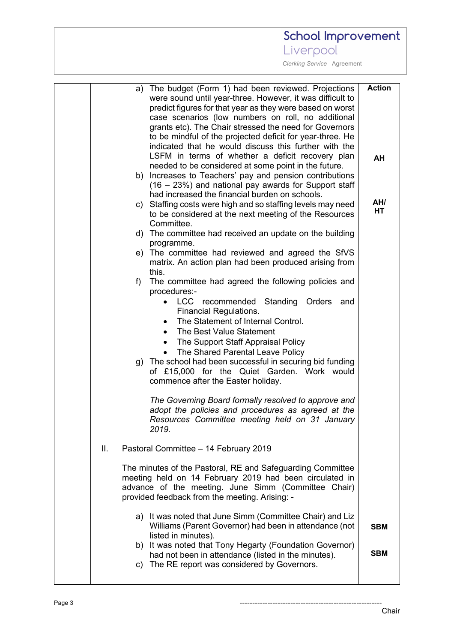Liverpool

|    | a) The budget (Form 1) had been reviewed. Projections       | <b>Action</b> |
|----|-------------------------------------------------------------|---------------|
|    | were sound until year-three. However, it was difficult to   |               |
|    | predict figures for that year as they were based on worst   |               |
|    | case scenarios (low numbers on roll, no additional          |               |
|    | grants etc). The Chair stressed the need for Governors      |               |
|    | to be mindful of the projected deficit for year-three. He   |               |
|    | indicated that he would discuss this further with the       |               |
|    | LSFM in terms of whether a deficit recovery plan            | AH            |
|    | needed to be considered at some point in the future.        |               |
|    | b) Increases to Teachers' pay and pension contributions     |               |
|    | $(16 - 23%)$ and national pay awards for Support staff      |               |
|    | had increased the financial burden on schools.              |               |
|    | c) Staffing costs were high and so staffing levels may need | AH/           |
|    | to be considered at the next meeting of the Resources       | HT            |
|    | Committee.                                                  |               |
|    | d) The committee had received an update on the building     |               |
|    | programme.                                                  |               |
|    | e) The committee had reviewed and agreed the SfVS           |               |
|    | matrix. An action plan had been produced arising from       |               |
|    | this.                                                       |               |
|    | The committee had agreed the following policies and<br>f)   |               |
|    | procedures:-                                                |               |
|    | LCC recommended<br>Standing Orders<br>$\bullet$<br>and      |               |
|    | <b>Financial Regulations.</b>                               |               |
|    | The Statement of Internal Control.                          |               |
|    | The Best Value Statement<br>$\bullet$                       |               |
|    | The Support Staff Appraisal Policy<br>$\bullet$             |               |
|    | The Shared Parental Leave Policy                            |               |
|    | g) The school had been successful in securing bid funding   |               |
|    | of £15,000 for the Quiet Garden. Work would                 |               |
|    | commence after the Easter holiday.                          |               |
|    |                                                             |               |
|    | The Governing Board formally resolved to approve and        |               |
|    | adopt the policies and procedures as agreed at the          |               |
|    | Resources Committee meeting held on 31 January              |               |
|    | 2019.                                                       |               |
|    |                                                             |               |
| Ш. | Pastoral Committee - 14 February 2019                       |               |
|    |                                                             |               |
|    | The minutes of the Pastoral, RE and Safeguarding Committee  |               |
|    | meeting held on 14 February 2019 had been circulated in     |               |
|    | advance of the meeting. June Simm (Committee Chair)         |               |
|    | provided feedback from the meeting. Arising: -              |               |
|    | a) It was noted that June Simm (Committee Chair) and Liz    |               |
|    | Williams (Parent Governor) had been in attendance (not      |               |
|    | listed in minutes).                                         | <b>SBM</b>    |
|    | b) It was noted that Tony Hegarty (Foundation Governor)     |               |
|    | had not been in attendance (listed in the minutes).         | <b>SBM</b>    |
|    | c) The RE report was considered by Governors.               |               |
|    |                                                             |               |
|    |                                                             |               |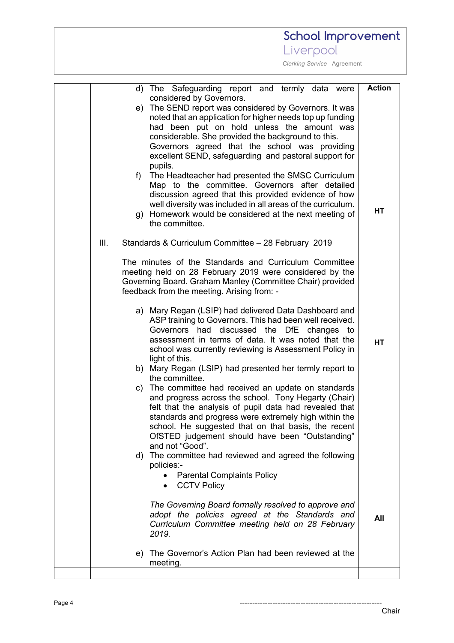|    | School Improvement                                                                                                                                                                                                                                                                                                                                                                                                                                                                                                                                                                                                                                                                                                         |                            |
|----|----------------------------------------------------------------------------------------------------------------------------------------------------------------------------------------------------------------------------------------------------------------------------------------------------------------------------------------------------------------------------------------------------------------------------------------------------------------------------------------------------------------------------------------------------------------------------------------------------------------------------------------------------------------------------------------------------------------------------|----------------------------|
|    | Liverpool                                                                                                                                                                                                                                                                                                                                                                                                                                                                                                                                                                                                                                                                                                                  |                            |
|    | Clerking Service Agreement                                                                                                                                                                                                                                                                                                                                                                                                                                                                                                                                                                                                                                                                                                 |                            |
|    | d) The Safeguarding report and termly data were<br>considered by Governors.<br>e) The SEND report was considered by Governors. It was<br>noted that an application for higher needs top up funding<br>had been put on hold unless the amount was<br>considerable. She provided the background to this.<br>Governors agreed that the school was providing<br>excellent SEND, safeguarding and pastoral support for<br>pupils.<br>The Headteacher had presented the SMSC Curriculum<br>f)<br>Map to the committee. Governors after detailed<br>discussion agreed that this provided evidence of how<br>well diversity was included in all areas of the curriculum.<br>g) Homework would be considered at the next meeting of | <b>Action</b><br><b>HT</b> |
| Ш. | the committee.<br>Standards & Curriculum Committee - 28 February 2019<br>The minutes of the Standards and Curriculum Committee<br>meeting held on 28 February 2019 were considered by the<br>Governing Board. Graham Manley (Committee Chair) provided                                                                                                                                                                                                                                                                                                                                                                                                                                                                     |                            |
|    | feedback from the meeting. Arising from: -<br>a) Mary Regan (LSIP) had delivered Data Dashboard and<br>ASP training to Governors. This had been well received.<br>Governors had discussed the DfE changes to<br>assessment in terms of data. It was noted that the<br>school was currently reviewing is Assessment Policy in<br>light of this.<br>b) Mary Regan (LSIP) had presented her termly report to<br>the committee.<br>c) The committee had received an update on standards                                                                                                                                                                                                                                        | <b>HT</b>                  |
|    | and progress across the school. Tony Hegarty (Chair)<br>felt that the analysis of pupil data had revealed that<br>standards and progress were extremely high within the<br>school. He suggested that on that basis, the recent<br>OfSTED judgement should have been "Outstanding"<br>and not "Good".<br>d) The committee had reviewed and agreed the following<br>policies:-<br><b>Parental Complaints Policy</b><br><b>CCTV Policy</b><br>$\bullet$                                                                                                                                                                                                                                                                       |                            |
|    | The Governing Board formally resolved to approve and<br>adopt the policies agreed at the Standards and<br>Curriculum Committee meeting held on 28 February<br>2019.<br>e) The Governor's Action Plan had been reviewed at the                                                                                                                                                                                                                                                                                                                                                                                                                                                                                              | All                        |
|    | meeting.                                                                                                                                                                                                                                                                                                                                                                                                                                                                                                                                                                                                                                                                                                                   |                            |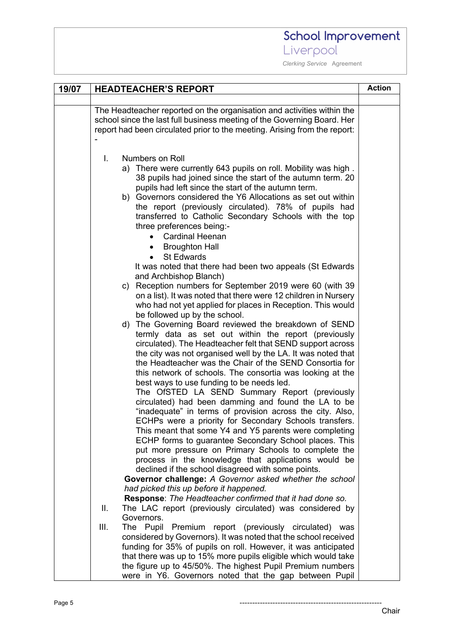### School Improvement Liverpool

| 19/07 | <b>HEADTEACHER'S REPORT</b>                                                                                                                                                                                                                                                                                                                                                                                                                                                                                                                                                                                                                                                                                                                                                                                                                                                                                           |  |  |
|-------|-----------------------------------------------------------------------------------------------------------------------------------------------------------------------------------------------------------------------------------------------------------------------------------------------------------------------------------------------------------------------------------------------------------------------------------------------------------------------------------------------------------------------------------------------------------------------------------------------------------------------------------------------------------------------------------------------------------------------------------------------------------------------------------------------------------------------------------------------------------------------------------------------------------------------|--|--|
|       |                                                                                                                                                                                                                                                                                                                                                                                                                                                                                                                                                                                                                                                                                                                                                                                                                                                                                                                       |  |  |
|       | The Headteacher reported on the organisation and activities within the<br>school since the last full business meeting of the Governing Board. Her                                                                                                                                                                                                                                                                                                                                                                                                                                                                                                                                                                                                                                                                                                                                                                     |  |  |
|       | report had been circulated prior to the meeting. Arising from the report:                                                                                                                                                                                                                                                                                                                                                                                                                                                                                                                                                                                                                                                                                                                                                                                                                                             |  |  |
|       | Numbers on Roll<br>T.<br>a) There were currently 643 pupils on roll. Mobility was high.<br>38 pupils had joined since the start of the autumn term. 20<br>pupils had left since the start of the autumn term.<br>b) Governors considered the Y6 Allocations as set out within<br>the report (previously circulated). 78% of pupils had<br>transferred to Catholic Secondary Schools with the top<br>three preferences being:-<br><b>Cardinal Heenan</b><br><b>Broughton Hall</b>                                                                                                                                                                                                                                                                                                                                                                                                                                      |  |  |
|       | <b>St Edwards</b><br>$\bullet$<br>It was noted that there had been two appeals (St Edwards<br>and Archbishop Blanch)<br>c) Reception numbers for September 2019 were 60 (with 39<br>on a list). It was noted that there were 12 children in Nursery<br>who had not yet applied for places in Reception. This would                                                                                                                                                                                                                                                                                                                                                                                                                                                                                                                                                                                                    |  |  |
|       | be followed up by the school.<br>The Governing Board reviewed the breakdown of SEND<br>d)<br>termly data as set out within the report (previously<br>circulated). The Headteacher felt that SEND support across<br>the city was not organised well by the LA. It was noted that<br>the Headteacher was the Chair of the SEND Consortia for<br>this network of schools. The consortia was looking at the<br>best ways to use funding to be needs led.<br>The OfSTED LA SEND Summary Report (previously<br>circulated) had been damming and found the LA to be<br>"inadequate" in terms of provision across the city. Also,<br>ECHPs were a priority for Secondary Schools transfers.<br>This meant that some Y4 and Y5 parents were completing<br>ECHP forms to guarantee Secondary School places. This<br>put more pressure on Primary Schools to complete the<br>process in the knowledge that applications would be |  |  |
|       | declined if the school disagreed with some points.<br>Governor challenge: A Governor asked whether the school<br>had picked this up before it happened.<br>Response: The Headteacher confirmed that it had done so.<br>The LAC report (previously circulated) was considered by<br>Ш.<br>Governors.<br>III.<br>Premium report (previously circulated) was<br>The Pupil<br>considered by Governors). It was noted that the school received<br>funding for 35% of pupils on roll. However, it was anticipated<br>that there was up to 15% more pupils eligible which would take<br>the figure up to 45/50%. The highest Pupil Premium numbers<br>were in Y6. Governors noted that the gap between Pupil                                                                                                                                                                                                                 |  |  |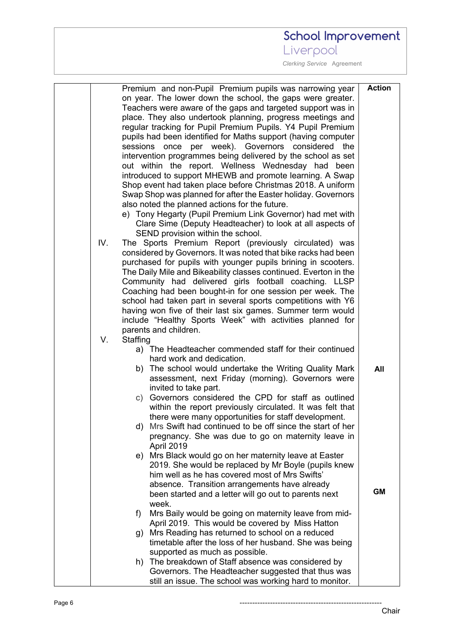### Liverpool

|     |          | Premium and non-Pupil Premium pupils was narrowing year                                         | <b>Action</b> |
|-----|----------|-------------------------------------------------------------------------------------------------|---------------|
|     |          | on year. The lower down the school, the gaps were greater.                                      |               |
|     |          | Teachers were aware of the gaps and targeted support was in                                     |               |
|     |          | place. They also undertook planning, progress meetings and                                      |               |
|     |          | regular tracking for Pupil Premium Pupils. Y4 Pupil Premium                                     |               |
|     |          | pupils had been identified for Maths support (having computer                                   |               |
|     |          | sessions once per week). Governors<br>considered the                                            |               |
|     |          | intervention programmes being delivered by the school as set                                    |               |
|     |          | out within the report. Wellness Wednesday had been                                              |               |
|     |          | introduced to support MHEWB and promote learning. A Swap                                        |               |
|     |          | Shop event had taken place before Christmas 2018. A uniform                                     |               |
|     |          | Swap Shop was planned for after the Easter holiday. Governors                                   |               |
|     |          | also noted the planned actions for the future.                                                  |               |
|     |          | e) Tony Hegarty (Pupil Premium Link Governor) had met with                                      |               |
|     |          | Clare Sime (Deputy Headteacher) to look at all aspects of                                       |               |
|     |          | SEND provision within the school.                                                               |               |
| IV. |          | The Sports Premium Report (previously circulated) was                                           |               |
|     |          | considered by Governors. It was noted that bike racks had been                                  |               |
|     |          | purchased for pupils with younger pupils brining in scooters.                                   |               |
|     |          | The Daily Mile and Bikeability classes continued. Everton in the                                |               |
|     |          | Community had delivered girls football coaching. LLSP                                           |               |
|     |          | Coaching had been bought-in for one session per week. The                                       |               |
|     |          | school had taken part in several sports competitions with Y6                                    |               |
|     |          | having won five of their last six games. Summer term would                                      |               |
|     |          | include "Healthy Sports Week" with activities planned for                                       |               |
|     |          | parents and children.                                                                           |               |
| V.  | Staffing |                                                                                                 |               |
|     |          | a) The Headteacher commended staff for their continued                                          |               |
|     |          | hard work and dedication.                                                                       |               |
|     | b)       | The school would undertake the Writing Quality Mark                                             | All           |
|     |          | assessment, next Friday (morning). Governors were                                               |               |
|     |          | invited to take part.                                                                           |               |
|     |          | c) Governors considered the CPD for staff as outlined                                           |               |
|     |          | within the report previously circulated. It was felt that                                       |               |
|     |          | there were many opportunities for staff development.                                            |               |
|     |          | d) Mrs Swift had continued to be off since the start of her                                     |               |
|     |          | pregnancy. She was due to go on maternity leave in                                              |               |
|     |          | April 2019                                                                                      |               |
|     |          | e) Mrs Black would go on her maternity leave at Easter                                          |               |
|     |          | 2019. She would be replaced by Mr Boyle (pupils knew                                            |               |
|     |          | him well as he has covered most of Mrs Swifts'<br>absence. Transition arrangements have already |               |
|     |          |                                                                                                 | <b>GM</b>     |
|     |          | been started and a letter will go out to parents next<br>week.                                  |               |
|     |          | Mrs Baily would be going on maternity leave from mid-                                           |               |
|     | f)       | April 2019. This would be covered by Miss Hatton                                                |               |
|     |          | Mrs Reading has returned to school on a reduced                                                 |               |
|     | g)       | timetable after the loss of her husband. She was being                                          |               |
|     |          | supported as much as possible.                                                                  |               |
|     |          | h) The breakdown of Staff absence was considered by                                             |               |
|     |          | Governors. The Headteacher suggested that thus was                                              |               |
|     |          | still an issue. The school was working hard to monitor.                                         |               |
|     |          |                                                                                                 |               |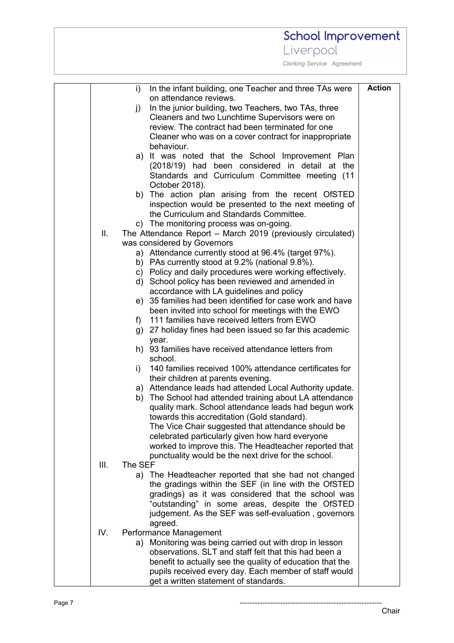#### **School Improvement** Liverpool  *Clerking Service* Agreement **Action**i) In the infant building, one Teacher and three TAs were on attendance reviews. j) In the junior building, two Teachers, two TAs, three Cleaners and two Lunchtime Supervisors were on review. The contract had been terminated for one Cleaner who was on a cover contract for inappropriate behaviour. a) It was noted that the School Improvement Plan (2018/19) had been considered in detail at the Standards and Curriculum Committee meeting (11 October 2018). b) The action plan arising from the recent OfSTED inspection would be presented to the next meeting of the Curriculum and Standards Committee. c) The monitoring process was on-going. II. The Attendance Report – March 2019 (previously circulated) was considered by Governors a) Attendance currently stood at 96.4% (target 97%). b) PAs currently stood at 9.2% (national 9.8%). c) Policy and daily procedures were working effectively. d) School policy has been reviewed and amended in accordance with LA guidelines and policy e) 35 families had been identified for case work and have been invited into school for meetings with the EWO f) 111 families have received letters from EWO g) 27 holiday fines had been issued so far this academic year. h) 93 families have received attendance letters from school. i) 140 families received 100% attendance certificates for their children at parents evening. a) Attendance leads had attended Local Authority update. b) The School had attended training about LA attendance quality mark. School attendance leads had begun work towards this accreditation (Gold standard). The Vice Chair suggested that attendance should be celebrated particularly given how hard everyone worked to improve this. The Headteacher reported that punctuality would be the next drive for the school. III. The SEF a) The Headteacher reported that she had not changed the gradings within the SEF (in line with the OfSTED gradings) as it was considered that the school was "outstanding" in some areas, despite the OfSTED judgement. As the SEF was self-evaluation , governors agreed. IV. Performance Management a) Monitoring was being carried out with drop in lesson observations. SLT and staff felt that this had been a benefit to actually see the quality of education that the pupils received every day. Each member of staff would get a written statement of standards.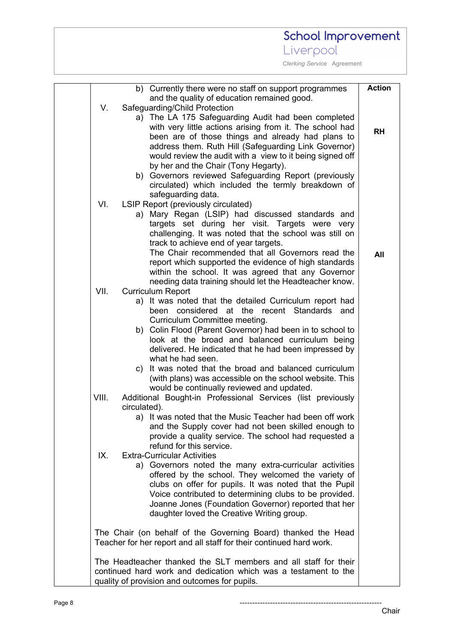Liverpool

|       | b) Currently there were no staff on support programmes                     | <b>Action</b> |
|-------|----------------------------------------------------------------------------|---------------|
|       | and the quality of education remained good.                                |               |
| V.    | Safeguarding/Child Protection                                              |               |
|       | a) The LA 175 Safeguarding Audit had been completed                        |               |
|       | with very little actions arising from it. The school had                   | <b>RH</b>     |
|       | been are of those things and already had plans to                          |               |
|       | address them. Ruth Hill (Safeguarding Link Governor)                       |               |
|       | would review the audit with a view to it being signed off                  |               |
|       | by her and the Chair (Tony Hegarty).                                       |               |
|       | b) Governors reviewed Safeguarding Report (previously                      |               |
|       | circulated) which included the termly breakdown of                         |               |
|       | safeguarding data.                                                         |               |
| VI.   | LSIP Report (previously circulated)                                        |               |
|       | a) Mary Regan (LSIP) had discussed standards and                           |               |
|       | targets set during her visit. Targets were very                            |               |
|       | challenging. It was noted that the school was still on                     |               |
|       | track to achieve end of year targets.                                      |               |
|       | The Chair recommended that all Governors read the                          | All           |
|       | report which supported the evidence of high standards                      |               |
|       | within the school. It was agreed that any Governor                         |               |
|       | needing data training should let the Headteacher know.                     |               |
| VII.  | <b>Curriculum Report</b>                                                   |               |
|       | a) It was noted that the detailed Curriculum report had                    |               |
|       | considered at the recent Standards and<br>been                             |               |
|       | Curriculum Committee meeting.                                              |               |
|       | b) Colin Flood (Parent Governor) had been in to school to                  |               |
|       | look at the broad and balanced curriculum being                            |               |
|       | delivered. He indicated that he had been impressed by<br>what he had seen. |               |
|       | c) It was noted that the broad and balanced curriculum                     |               |
|       | (with plans) was accessible on the school website. This                    |               |
|       | would be continually reviewed and updated.                                 |               |
| VIII. | Additional Bought-in Professional Services (list previously                |               |
|       | circulated).                                                               |               |
|       | a) It was noted that the Music Teacher had been off work                   |               |
|       | and the Supply cover had not been skilled enough to                        |               |
|       | provide a quality service. The school had requested a                      |               |
|       | refund for this service.                                                   |               |
| IX.   | <b>Extra-Curricular Activities</b>                                         |               |
|       | a) Governors noted the many extra-curricular activities                    |               |
|       | offered by the school. They welcomed the variety of                        |               |
|       | clubs on offer for pupils. It was noted that the Pupil                     |               |
|       | Voice contributed to determining clubs to be provided.                     |               |
|       | Joanne Jones (Foundation Governor) reported that her                       |               |
|       | daughter loved the Creative Writing group.                                 |               |
|       | The Chair (on behalf of the Governing Board) thanked the Head              |               |
|       | Teacher for her report and all staff for their continued hard work.        |               |
|       | The Headteacher thanked the SLT members and all staff for their            |               |
|       | continued hard work and dedication which was a testament to the            |               |
|       | quality of provision and outcomes for pupils.                              |               |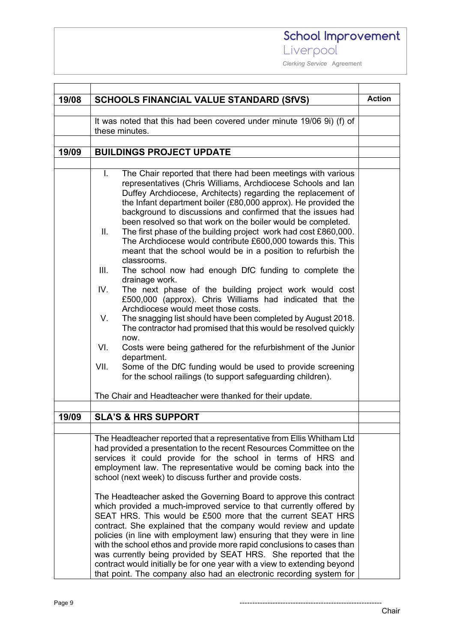### School Improvement Liverpool

T

٦

 *Clerking Service* Agreement

| 19/08 | <b>SCHOOLS FINANCIAL VALUE STANDARD (SfVS)</b>                                                                                                                                                                                                                                                                                                                                                                                                                                                                                                                                                                                                                                                                                                                                                                                                                                                                                                                                                                                                                                                                                                                                                                                                                           | <b>Action</b> |  |
|-------|--------------------------------------------------------------------------------------------------------------------------------------------------------------------------------------------------------------------------------------------------------------------------------------------------------------------------------------------------------------------------------------------------------------------------------------------------------------------------------------------------------------------------------------------------------------------------------------------------------------------------------------------------------------------------------------------------------------------------------------------------------------------------------------------------------------------------------------------------------------------------------------------------------------------------------------------------------------------------------------------------------------------------------------------------------------------------------------------------------------------------------------------------------------------------------------------------------------------------------------------------------------------------|---------------|--|
|       | It was noted that this had been covered under minute 19/06 9i) (f) of<br>these minutes.                                                                                                                                                                                                                                                                                                                                                                                                                                                                                                                                                                                                                                                                                                                                                                                                                                                                                                                                                                                                                                                                                                                                                                                  |               |  |
|       |                                                                                                                                                                                                                                                                                                                                                                                                                                                                                                                                                                                                                                                                                                                                                                                                                                                                                                                                                                                                                                                                                                                                                                                                                                                                          |               |  |
| 19/09 | <b>BUILDINGS PROJECT UPDATE</b>                                                                                                                                                                                                                                                                                                                                                                                                                                                                                                                                                                                                                                                                                                                                                                                                                                                                                                                                                                                                                                                                                                                                                                                                                                          |               |  |
|       |                                                                                                                                                                                                                                                                                                                                                                                                                                                                                                                                                                                                                                                                                                                                                                                                                                                                                                                                                                                                                                                                                                                                                                                                                                                                          |               |  |
|       | $\mathbf{L}$<br>The Chair reported that there had been meetings with various<br>representatives (Chris Williams, Archdiocese Schools and lan<br>Duffey Archdiocese, Architects) regarding the replacement of<br>the Infant department boiler (£80,000 approx). He provided the<br>background to discussions and confirmed that the issues had<br>been resolved so that work on the boiler would be completed.<br>The first phase of the building project work had cost £860,000.<br>Ш.<br>The Archdiocese would contribute £600,000 towards this. This<br>meant that the school would be in a position to refurbish the<br>classrooms.<br>Ш.<br>The school now had enough DfC funding to complete the<br>drainage work.<br>IV.<br>The next phase of the building project work would cost<br>£500,000 (approx). Chris Williams had indicated that the<br>Archdiocese would meet those costs.<br>V.<br>The snagging list should have been completed by August 2018.<br>The contractor had promised that this would be resolved quickly<br>now.<br>VI.<br>Costs were being gathered for the refurbishment of the Junior<br>department.<br>Some of the DfC funding would be used to provide screening<br>VII.<br>for the school railings (to support safeguarding children). |               |  |
|       | The Chair and Headteacher were thanked for their update.                                                                                                                                                                                                                                                                                                                                                                                                                                                                                                                                                                                                                                                                                                                                                                                                                                                                                                                                                                                                                                                                                                                                                                                                                 |               |  |
|       |                                                                                                                                                                                                                                                                                                                                                                                                                                                                                                                                                                                                                                                                                                                                                                                                                                                                                                                                                                                                                                                                                                                                                                                                                                                                          |               |  |
| 19/09 | <b>SLA'S &amp; HRS SUPPORT</b>                                                                                                                                                                                                                                                                                                                                                                                                                                                                                                                                                                                                                                                                                                                                                                                                                                                                                                                                                                                                                                                                                                                                                                                                                                           |               |  |
|       |                                                                                                                                                                                                                                                                                                                                                                                                                                                                                                                                                                                                                                                                                                                                                                                                                                                                                                                                                                                                                                                                                                                                                                                                                                                                          |               |  |
|       | The Headteacher reported that a representative from Ellis Whitham Ltd<br>had provided a presentation to the recent Resources Committee on the<br>services it could provide for the school in terms of HRS and<br>employment law. The representative would be coming back into the<br>school (next week) to discuss further and provide costs.                                                                                                                                                                                                                                                                                                                                                                                                                                                                                                                                                                                                                                                                                                                                                                                                                                                                                                                            |               |  |
|       | The Headteacher asked the Governing Board to approve this contract<br>which provided a much-improved service to that currently offered by<br>SEAT HRS. This would be £500 more that the current SEAT HRS<br>contract. She explained that the company would review and update<br>policies (in line with employment law) ensuring that they were in line<br>with the school ethos and provide more rapid conclusions to cases than<br>was currently being provided by SEAT HRS. She reported that the<br>contract would initially be for one year with a view to extending beyond<br>that point. The company also had an electronic recording system for                                                                                                                                                                                                                                                                                                                                                                                                                                                                                                                                                                                                                   |               |  |

 $\mathbf{r}$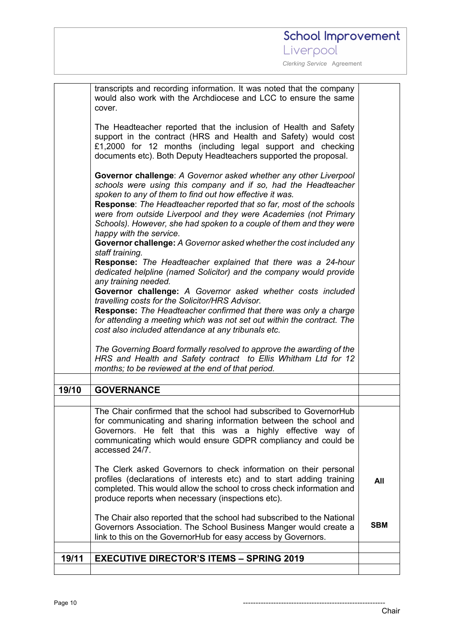|       | transcripts and recording information. It was noted that the company<br>would also work with the Archdiocese and LCC to ensure the same<br>cover.<br>The Headteacher reported that the inclusion of Health and Safety<br>support in the contract (HRS and Health and Safety) would cost<br>£1,2000 for 12 months (including legal support and checking<br>documents etc). Both Deputy Headteachers supported the proposal.<br>Governor challenge: A Governor asked whether any other Liverpool<br>schools were using this company and if so, had the Headteacher<br>spoken to any of them to find out how effective it was.<br><b>Response:</b> The Headteacher reported that so far, most of the schools<br>were from outside Liverpool and they were Academies (not Primary<br>Schools). However, she had spoken to a couple of them and they were<br>happy with the service.<br>Governor challenge: A Governor asked whether the cost included any<br>staff training.<br>Response: The Headteacher explained that there was a 24-hour<br>dedicated helpline (named Solicitor) and the company would provide<br>any training needed.<br>Governor challenge: A Governor asked whether costs included<br>travelling costs for the Solicitor/HRS Advisor. |            |
|-------|----------------------------------------------------------------------------------------------------------------------------------------------------------------------------------------------------------------------------------------------------------------------------------------------------------------------------------------------------------------------------------------------------------------------------------------------------------------------------------------------------------------------------------------------------------------------------------------------------------------------------------------------------------------------------------------------------------------------------------------------------------------------------------------------------------------------------------------------------------------------------------------------------------------------------------------------------------------------------------------------------------------------------------------------------------------------------------------------------------------------------------------------------------------------------------------------------------------------------------------------------------|------------|
|       | <b>Response:</b> The Headteacher confirmed that there was only a charge<br>for attending a meeting which was not set out within the contract. The<br>cost also included attendance at any tribunals etc.                                                                                                                                                                                                                                                                                                                                                                                                                                                                                                                                                                                                                                                                                                                                                                                                                                                                                                                                                                                                                                                 |            |
|       | The Governing Board formally resolved to approve the awarding of the<br>HRS and Health and Safety contract to Ellis Whitham Ltd for 12<br>months; to be reviewed at the end of that period.                                                                                                                                                                                                                                                                                                                                                                                                                                                                                                                                                                                                                                                                                                                                                                                                                                                                                                                                                                                                                                                              |            |
| 19/10 | <b>GOVERNANCE</b>                                                                                                                                                                                                                                                                                                                                                                                                                                                                                                                                                                                                                                                                                                                                                                                                                                                                                                                                                                                                                                                                                                                                                                                                                                        |            |
|       |                                                                                                                                                                                                                                                                                                                                                                                                                                                                                                                                                                                                                                                                                                                                                                                                                                                                                                                                                                                                                                                                                                                                                                                                                                                          |            |
|       | The Chair confirmed that the school had subscribed to GovernorHub<br>for communicating and sharing information between the school and<br>Governors. He felt that this was a highly effective way of<br>communicating which would ensure GDPR compliancy and could be<br>accessed 24/7.                                                                                                                                                                                                                                                                                                                                                                                                                                                                                                                                                                                                                                                                                                                                                                                                                                                                                                                                                                   |            |
|       | The Clerk asked Governors to check information on their personal<br>profiles (declarations of interests etc) and to start adding training<br>completed. This would allow the school to cross check information and<br>produce reports when necessary (inspections etc).                                                                                                                                                                                                                                                                                                                                                                                                                                                                                                                                                                                                                                                                                                                                                                                                                                                                                                                                                                                  | All        |
|       | The Chair also reported that the school had subscribed to the National<br>Governors Association. The School Business Manger would create a<br>link to this on the GovernorHub for easy access by Governors.                                                                                                                                                                                                                                                                                                                                                                                                                                                                                                                                                                                                                                                                                                                                                                                                                                                                                                                                                                                                                                              | <b>SBM</b> |
| 19/11 | <b>EXECUTIVE DIRECTOR'S ITEMS - SPRING 2019</b>                                                                                                                                                                                                                                                                                                                                                                                                                                                                                                                                                                                                                                                                                                                                                                                                                                                                                                                                                                                                                                                                                                                                                                                                          |            |
|       |                                                                                                                                                                                                                                                                                                                                                                                                                                                                                                                                                                                                                                                                                                                                                                                                                                                                                                                                                                                                                                                                                                                                                                                                                                                          |            |

Page 10 --------------------------------------------------------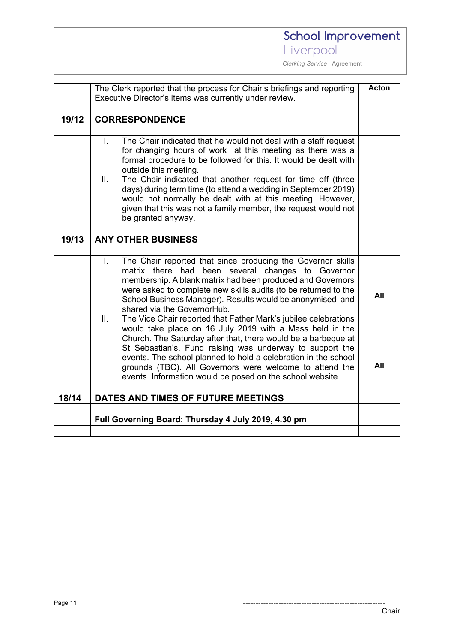Liverpool

|       | The Clerk reported that the process for Chair's briefings and reporting                                                                                                                                                                                                                                                                                                                                                                                                                                                                                                                                                                                                                                                                                                                                         | Acton      |
|-------|-----------------------------------------------------------------------------------------------------------------------------------------------------------------------------------------------------------------------------------------------------------------------------------------------------------------------------------------------------------------------------------------------------------------------------------------------------------------------------------------------------------------------------------------------------------------------------------------------------------------------------------------------------------------------------------------------------------------------------------------------------------------------------------------------------------------|------------|
|       | Executive Director's items was currently under review.                                                                                                                                                                                                                                                                                                                                                                                                                                                                                                                                                                                                                                                                                                                                                          |            |
| 19/12 | <b>CORRESPONDENCE</b>                                                                                                                                                                                                                                                                                                                                                                                                                                                                                                                                                                                                                                                                                                                                                                                           |            |
|       |                                                                                                                                                                                                                                                                                                                                                                                                                                                                                                                                                                                                                                                                                                                                                                                                                 |            |
|       | The Chair indicated that he would not deal with a staff request<br>T.<br>for changing hours of work at this meeting as there was a<br>formal procedure to be followed for this. It would be dealt with<br>outside this meeting.<br>Ⅱ.<br>The Chair indicated that another request for time off (three<br>days) during term time (to attend a wedding in September 2019)<br>would not normally be dealt with at this meeting. However,<br>given that this was not a family member, the request would not<br>be granted anyway.                                                                                                                                                                                                                                                                                   |            |
|       |                                                                                                                                                                                                                                                                                                                                                                                                                                                                                                                                                                                                                                                                                                                                                                                                                 |            |
| 19/13 | <b>ANY OTHER BUSINESS</b>                                                                                                                                                                                                                                                                                                                                                                                                                                                                                                                                                                                                                                                                                                                                                                                       |            |
|       | The Chair reported that since producing the Governor skills<br>L.<br>matrix there had been several changes to Governor<br>membership. A blank matrix had been produced and Governors<br>were asked to complete new skills audits (to be returned to the<br>School Business Manager). Results would be anonymised and<br>shared via the GovernorHub.<br>The Vice Chair reported that Father Mark's jubilee celebrations<br>Ш.<br>would take place on 16 July 2019 with a Mass held in the<br>Church. The Saturday after that, there would be a barbeque at<br>St Sebastian's. Fund raising was underway to support the<br>events. The school planned to hold a celebration in the school<br>grounds (TBC). All Governors were welcome to attend the<br>events. Information would be posed on the school website. | All<br>All |
| 18/14 | DATES AND TIMES OF FUTURE MEETINGS                                                                                                                                                                                                                                                                                                                                                                                                                                                                                                                                                                                                                                                                                                                                                                              |            |
|       |                                                                                                                                                                                                                                                                                                                                                                                                                                                                                                                                                                                                                                                                                                                                                                                                                 |            |
|       | Full Governing Board: Thursday 4 July 2019, 4.30 pm                                                                                                                                                                                                                                                                                                                                                                                                                                                                                                                                                                                                                                                                                                                                                             |            |
|       |                                                                                                                                                                                                                                                                                                                                                                                                                                                                                                                                                                                                                                                                                                                                                                                                                 |            |